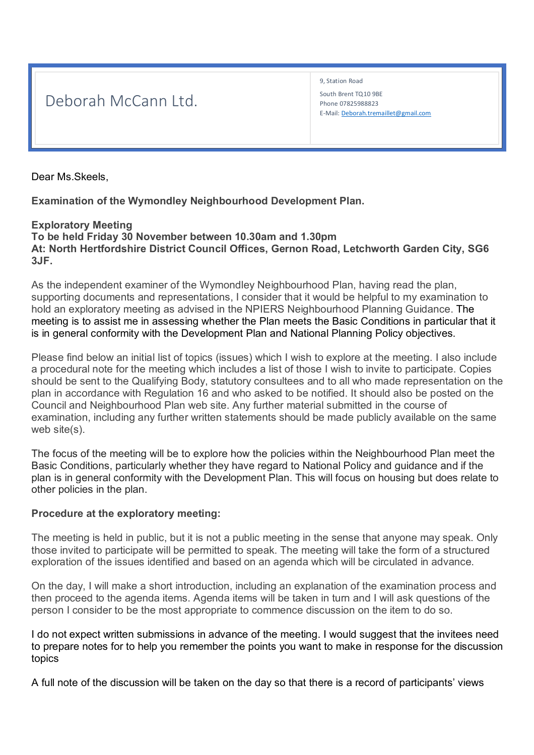## Deborah McCann Ltd.

9, Station Road South Brent TQ10 9BE Phone 07825988823 E-Mail: Deborah.tremaillet@gmail.com

Dear Ms.Skeels,

**Examination of the Wymondley Neighbourhood Development Plan.** 

## **Exploratory Meeting**

**To be held Friday 30 November between 10.30am and 1.30pm At: North Hertfordshire District Council Offices, Gernon Road, Letchworth Garden City, SG6 3JF.** 

As the independent examiner of the Wymondley Neighbourhood Plan, having read the plan, supporting documents and representations, I consider that it would be helpful to my examination to hold an exploratory meeting as advised in the NPIERS Neighbourhood Planning Guidance. The meeting is to assist me in assessing whether the Plan meets the Basic Conditions in particular that it is in general conformity with the Development Plan and National Planning Policy objectives.

Please find below an initial list of topics (issues) which I wish to explore at the meeting. I also include a procedural note for the meeting which includes a list of those I wish to invite to participate. Copies should be sent to the Qualifying Body, statutory consultees and to all who made representation on the plan in accordance with Regulation 16 and who asked to be notified. It should also be posted on the Council and Neighbourhood Plan web site. Any further material submitted in the course of examination, including any further written statements should be made publicly available on the same web site(s).

The focus of the meeting will be to explore how the policies within the Neighbourhood Plan meet the Basic Conditions, particularly whether they have regard to National Policy and guidance and if the plan is in general conformity with the Development Plan. This will focus on housing but does relate to other policies in the plan.

## **Procedure at the exploratory meeting:**

The meeting is held in public, but it is not a public meeting in the sense that anyone may speak. Only those invited to participate will be permitted to speak. The meeting will take the form of a structured exploration of the issues identified and based on an agenda which will be circulated in advance.

On the day, I will make a short introduction, including an explanation of the examination process and then proceed to the agenda items. Agenda items will be taken in turn and I will ask questions of the person I consider to be the most appropriate to commence discussion on the item to do so.

I do not expect written submissions in advance of the meeting. I would suggest that the invitees need to prepare notes for to help you remember the points you want to make in response for the discussion topics

A full note of the discussion will be taken on the day so that there is a record of participants' views